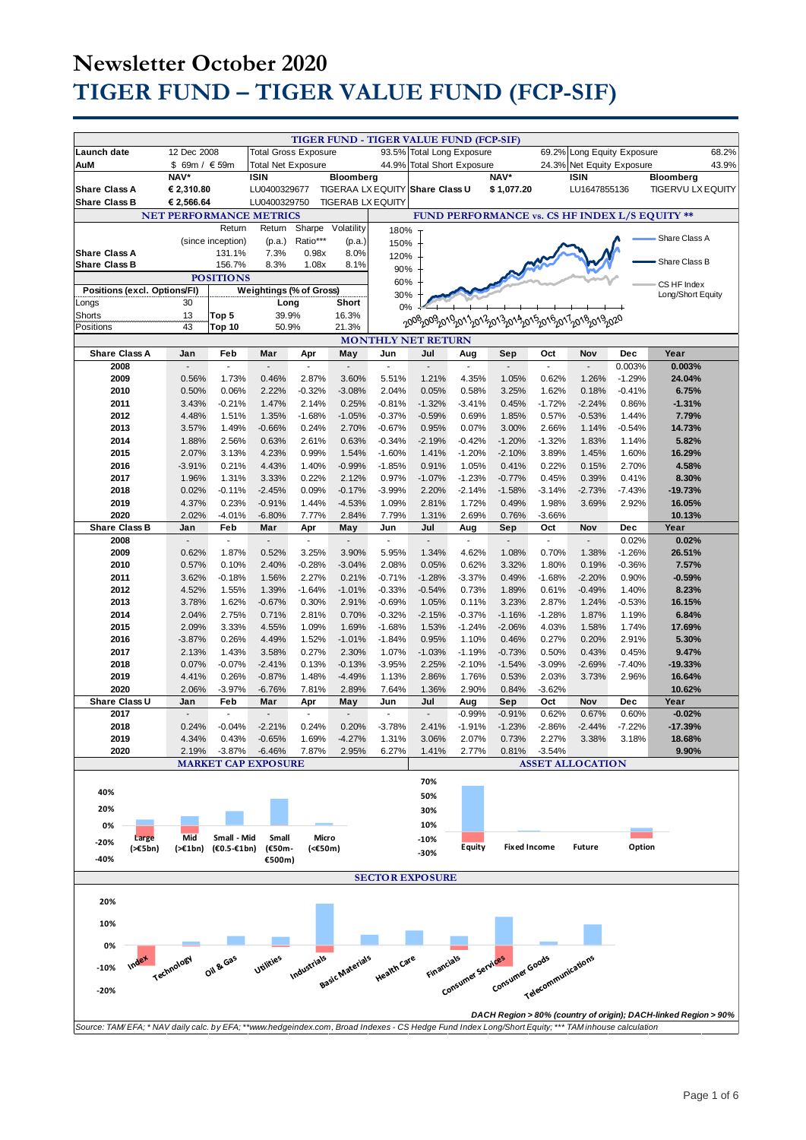|                                                                                                                                                     |                                 |                             |                                 |                             |                                 |                      | TIGER FUND - TIGER VALUE FUND (FCP-SIF) |                             |                                                                          |                               |                         |                   |                                                                 |  |
|-----------------------------------------------------------------------------------------------------------------------------------------------------|---------------------------------|-----------------------------|---------------------------------|-----------------------------|---------------------------------|----------------------|-----------------------------------------|-----------------------------|--------------------------------------------------------------------------|-------------------------------|-------------------------|-------------------|-----------------------------------------------------------------|--|
| Launch date                                                                                                                                         | 12 Dec 2008                     |                             |                                 | <b>Total Gross Exposure</b> |                                 |                      | 93.5%<br><b>Total Long Exposure</b>     |                             |                                                                          | 69.2%<br>Long Equity Exposure |                         |                   | 68.2%                                                           |  |
| AuM<br>\$ 69m / € 59m                                                                                                                               |                                 |                             | <b>Total Net Exposure</b>       |                             |                                 | 44.9%                |                                         | <b>Total Short Exposure</b> |                                                                          | 24.3%                         | Net Equity Exposure     |                   | 43.9%                                                           |  |
|                                                                                                                                                     | NAV*                            |                             | <b>ISIN</b>                     |                             | Bloomberg                       |                      |                                         |                             | NAV*                                                                     |                               | <b>ISIN</b>             |                   | Bloomberg                                                       |  |
| <b>Share Class A</b>                                                                                                                                | € 2,310.80                      |                             | LU0400329677                    |                             |                                 |                      | TIGERAA LX EQUITY Share Class U         |                             | \$1,077.20                                                               |                               | LU1647855136            |                   | <b>TIGERVU LX EQUITY</b>                                        |  |
| <b>Share Class B</b>                                                                                                                                | € 2,566.64                      |                             | LU0400329750                    |                             | <b>TIGERAB LX EQUITY</b>        |                      |                                         |                             |                                                                          |                               |                         |                   |                                                                 |  |
|                                                                                                                                                     | NET PERFORMANCE METRICS         |                             |                                 |                             |                                 |                      |                                         |                             |                                                                          |                               |                         |                   | FUND PERFORMANCE vs. CS HF INDEX L/S EQUITY **                  |  |
|                                                                                                                                                     |                                 | Return<br>(since inception) | Return<br>(p.a.)                | Sharpe<br>Ratio***          | Volatility<br>(p.a.)            | 180%                 |                                         |                             |                                                                          |                               |                         |                   | Share Class A                                                   |  |
| <b>Share Class A</b>                                                                                                                                |                                 | 131.1%                      | 7.3%                            | 0.98x                       | 8.0%                            | 150%                 |                                         |                             |                                                                          |                               |                         |                   |                                                                 |  |
| <b>Share Class B</b>                                                                                                                                |                                 | 156.7%                      | 8.3%                            | 1.08x                       | 8.1%                            | 120%<br>90%          |                                         |                             |                                                                          |                               |                         |                   | Share Class B                                                   |  |
|                                                                                                                                                     |                                 | <b>POSITIONS</b>            |                                 |                             |                                 | 60%                  |                                         |                             |                                                                          |                               |                         |                   |                                                                 |  |
| Positions (excl. Options/FI)                                                                                                                        |                                 |                             | Weightings (% of Gross)         |                             |                                 | 30%                  |                                         |                             |                                                                          |                               |                         |                   | CS HF Index<br>Long/Short Equity                                |  |
| Longs                                                                                                                                               | 30                              |                             | Long                            |                             | Short                           | 0%                   |                                         |                             |                                                                          |                               |                         |                   |                                                                 |  |
| Shorts                                                                                                                                              | 13<br>43                        | Top 5                       | 39.9%                           |                             | 16.3%                           |                      |                                         |                             | <u>ე</u> ინგინგიურვი აგიავი აგიავი ან გიან ია 1 <sub>201</sub> 8 იავი ვი |                               |                         |                   |                                                                 |  |
| Top 10<br>50.9%<br>21.3%<br>Positions<br><b>MONTHLY NET RETURN</b>                                                                                  |                                 |                             |                                 |                             |                                 |                      |                                         |                             |                                                                          |                               |                         |                   |                                                                 |  |
| <b>Share Class A</b>                                                                                                                                | Jan                             | Feb                         | Mar                             | Apr                         | May                             | Jun                  | Jul                                     | Aug                         | Sep                                                                      | Oct                           | Nov                     | Dec               | Year                                                            |  |
| 2008                                                                                                                                                |                                 | ÷,                          |                                 | $\overline{a}$              | $\overline{a}$                  | ÷,                   | $\overline{a}$                          | ٠                           | $\blacksquare$                                                           |                               | $\overline{a}$          | 0.003%            | 0.003%                                                          |  |
| 2009                                                                                                                                                | 0.56%                           | 1.73%                       | 0.46%                           | 2.87%                       | 3.60%                           | 5.51%                | 1.21%                                   | 4.35%                       | 1.05%                                                                    | 0.62%                         | 1.26%                   | $-1.29%$          | 24.04%                                                          |  |
| 2010                                                                                                                                                | 0.50%                           | 0.06%                       | 2.22%                           | $-0.32%$                    | $-3.08%$                        | 2.04%                | 0.05%                                   | 0.58%                       | 3.25%                                                                    | 1.62%                         | 0.18%                   | $-0.41%$          | 6.75%                                                           |  |
| 2011                                                                                                                                                | 3.43%                           | $-0.21%$                    | 1.47%                           | 2.14%                       | 0.25%                           | $-0.81%$             | $-1.32%$                                | $-3.41%$                    | 0.45%                                                                    | $-1.72%$                      | $-2.24%$                | 0.86%             | $-1.31%$                                                        |  |
| 2012                                                                                                                                                | 4.48%                           | 1.51%                       | 1.35%                           | $-1.68%$                    | $-1.05%$                        | $-0.37%$             | $-0.59%$                                | 0.69%                       | 1.85%                                                                    | 0.57%                         | $-0.53%$                | 1.44%             | 7.79%                                                           |  |
| 2013                                                                                                                                                | 3.57%                           | 1.49%                       | $-0.66%$                        | 0.24%<br>2.61%              | 2.70%                           | $-0.67%$<br>$-0.34%$ | 0.95%<br>$-2.19%$                       | 0.07%                       | 3.00%                                                                    | 2.66%<br>$-1.32%$             | 1.14%                   | $-0.54%$          | 14.73%                                                          |  |
| 2014<br>2015                                                                                                                                        | 1.88%<br>2.07%                  | 2.56%<br>3.13%              | 0.63%<br>4.23%                  | 0.99%                       | 0.63%<br>1.54%                  | $-1.60%$             | 1.41%                                   | $-0.42%$<br>$-1.20%$        | $-1.20%$<br>$-2.10%$                                                     | 3.89%                         | 1.83%<br>1.45%          | 1.14%<br>1.60%    | 5.82%<br>16.29%                                                 |  |
| 2016                                                                                                                                                | $-3.91%$                        | 0.21%                       | 4.43%                           | 1.40%                       | $-0.99%$                        | $-1.85%$             | 0.91%                                   | 1.05%                       | 0.41%                                                                    | 0.22%                         | 0.15%                   | 2.70%             | 4.58%                                                           |  |
| 2017                                                                                                                                                | 1.96%                           | 1.31%                       | 3.33%                           | 0.22%                       | 2.12%                           | 0.97%                | $-1.07%$                                | $-1.23%$                    | $-0.77%$                                                                 | 0.45%                         | 0.39%                   | 0.41%             | 8.30%                                                           |  |
| 2018                                                                                                                                                | 0.02%                           | $-0.11%$                    | $-2.45%$                        | 0.09%                       | $-0.17%$                        | $-3.99%$             | 2.20%                                   | $-2.14%$                    | $-1.58%$                                                                 | $-3.14%$                      | $-2.73%$                | $-7.43%$          | $-19.73%$                                                       |  |
| 2019                                                                                                                                                | 4.37%                           | 0.23%                       | $-0.91%$                        | 1.44%                       | $-4.53%$                        | 1.09%                | 2.81%                                   | 1.72%                       | 0.49%                                                                    | 1.98%                         | 3.69%                   | 2.92%             | 16.05%                                                          |  |
| 2020                                                                                                                                                | 2.02%                           | $-4.01%$                    | $-6.80%$                        | 7.77%                       | 2.84%                           | 7.79%                | 1.31%                                   | 2.69%                       | 0.76%                                                                    | $-3.66%$                      |                         |                   | 10.13%                                                          |  |
| <b>Share Class B</b><br>2008                                                                                                                        | Jan<br>$\overline{\phantom{a}}$ | Feb<br>$\blacksquare$       | Mar<br>$\overline{\phantom{a}}$ | Apr<br>$\frac{1}{2}$        | May<br>$\overline{\phantom{a}}$ | Jun<br>$\sim$        | Jul<br>$\sim$                           | Aug<br>$\blacksquare$       | Sep<br>$\blacksquare$                                                    | Oct<br>$\blacksquare$         | Nov<br>$\mathbf{r}$     | Dec<br>0.02%      | Year<br>0.02%                                                   |  |
| 2009                                                                                                                                                | 0.62%                           | 1.87%                       | 0.52%                           | 3.25%                       | 3.90%                           | 5.95%                | 1.34%                                   | 4.62%                       | 1.08%                                                                    | 0.70%                         | 1.38%                   | $-1.26%$          | 26.51%                                                          |  |
| 2010                                                                                                                                                | 0.57%                           | 0.10%                       | 2.40%                           | $-0.28%$                    | $-3.04%$                        | 2.08%                | 0.05%                                   | 0.62%                       | 3.32%                                                                    | 1.80%                         | 0.19%                   | $-0.36%$          | 7.57%                                                           |  |
| 2011                                                                                                                                                | 3.62%                           | $-0.18%$                    | 1.56%                           | 2.27%                       | 0.21%                           | $-0.71%$             | $-1.28%$                                | $-3.37%$                    | 0.49%                                                                    | $-1.68%$                      | $-2.20%$                | 0.90%             | $-0.59%$                                                        |  |
| 2012                                                                                                                                                | 4.52%                           | 1.55%                       | 1.39%                           | $-1.64%$                    | $-1.01%$                        | $-0.33%$             | $-0.54%$                                | 0.73%                       | 1.89%                                                                    | 0.61%                         | $-0.49%$                | 1.40%             | 8.23%                                                           |  |
| 2013                                                                                                                                                | 3.78%                           | 1.62%                       | $-0.67%$                        | 0.30%                       | 2.91%                           | $-0.69%$             | 1.05%                                   | 0.11%                       | 3.23%                                                                    | 2.87%                         | 1.24%                   | $-0.53%$          | 16.15%                                                          |  |
| 2014                                                                                                                                                | 2.04%                           | 2.75%                       | 0.71%                           | 2.81%                       | 0.70%                           | $-0.32%$             | $-2.15%$                                | $-0.37%$                    | $-1.16%$                                                                 | $-1.28%$                      | 1.87%                   | 1.19%             | 6.84%                                                           |  |
| 2015<br>2016                                                                                                                                        | 2.09%<br>$-3.87%$               | 3.33%<br>0.26%              | 4.55%<br>4.49%                  | 1.09%<br>1.52%              | 1.69%<br>$-1.01%$               | $-1.68%$<br>$-1.84%$ | 1.53%<br>0.95%                          | $-1.24%$<br>1.10%           | $-2.06%$<br>0.46%                                                        | 4.03%<br>0.27%                | 1.58%<br>0.20%          | 1.74%<br>2.91%    | 17.69%<br>5.30%                                                 |  |
| 2017                                                                                                                                                | 2.13%                           | 1.43%                       | 3.58%                           | 0.27%                       | 2.30%                           | 1.07%                | $-1.03%$                                | $-1.19%$                    | $-0.73%$                                                                 | 0.50%                         | 0.43%                   | 0.45%             | 9.47%                                                           |  |
| 2018                                                                                                                                                | 0.07%                           | $-0.07%$                    | $-2.41%$                        | 0.13%                       | $-0.13%$                        | $-3.95%$             | 2.25%                                   | $-2.10%$                    | $-1.54%$                                                                 | $-3.09%$                      | $-2.69%$                | $-7.40%$          | $-19.33%$                                                       |  |
| 2019                                                                                                                                                | 4.41%                           | 0.26%                       | $-0.87%$                        | 1.48%                       | $-4.49%$                        | 1.13%                | 2.86%                                   | 1.76%                       | 0.53%                                                                    | 2.03%                         | 3.73%                   | 2.96%             | 16.64%                                                          |  |
| 2020                                                                                                                                                | 2.06%                           | $-3.97%$                    | $-6.76%$                        | 7.81%                       | 2.89%                           | 7.64%                | 1.36%                                   | 2.90%                       | 0.84%                                                                    | $-3.62%$                      |                         |                   | 10.62%                                                          |  |
| Share Class U                                                                                                                                       | Jan                             | Feb                         | Mar                             | Apr                         | May                             | Jun                  | Jul                                     | Aug                         | Sep                                                                      | Oct                           | Nov                     | Dec               | Year                                                            |  |
| 2017<br>2018                                                                                                                                        | 0.24%                           | $-0.04%$                    | $-2.21%$                        | 0.24%                       | 0.20%                           | $-3.78%$             | 2.41%                                   | $-0.99%$<br>$-1.91%$        | $-0.91%$<br>$-1.23%$                                                     | 0.62%<br>$-2.86%$             | 0.67%<br>$-2.44%$       | 0.60%<br>$-7.22%$ | $-0.02%$<br>$-17.39%$                                           |  |
| 2019                                                                                                                                                | 4.34%                           | 0.43%                       | $-0.65%$                        | 1.69%                       | $-4.27%$                        | 1.31%                | 3.06%                                   | 2.07%                       | 0.73%                                                                    | 2.27%                         | 3.38%                   | 3.18%             | 18.68%                                                          |  |
| 2020                                                                                                                                                | 2.19%                           | $-3.87%$                    | $-6.46%$                        | 7.87%                       | 2.95%                           | 6.27%                | 1.41%                                   | 2.77%                       | 0.81%                                                                    | $-3.54%$                      |                         |                   | 9.90%                                                           |  |
|                                                                                                                                                     |                                 |                             | <b>MARKET CAP EXPOSURE</b>      |                             |                                 |                      |                                         |                             |                                                                          |                               | <b>ASSET ALLOCATION</b> |                   |                                                                 |  |
|                                                                                                                                                     |                                 |                             |                                 |                             |                                 |                      | 70%                                     |                             |                                                                          |                               |                         |                   |                                                                 |  |
| 40%                                                                                                                                                 |                                 |                             |                                 |                             |                                 |                      | 50%                                     |                             |                                                                          |                               |                         |                   |                                                                 |  |
| 20%                                                                                                                                                 |                                 |                             |                                 |                             |                                 |                      | 30%                                     |                             |                                                                          |                               |                         |                   |                                                                 |  |
| 0%                                                                                                                                                  |                                 |                             |                                 |                             |                                 |                      | 10%                                     |                             |                                                                          |                               |                         |                   |                                                                 |  |
| Large<br>-20%                                                                                                                                       | Mid                             | Small - Mid                 | Small                           | Micro                       |                                 |                      | $-10%$                                  |                             |                                                                          |                               |                         |                   |                                                                 |  |
| (565bn)                                                                                                                                             | (>€1bn)                         | $(60.5 - 61bn)$             | (€50m-                          | $(50m)$                     |                                 |                      | $-30%$                                  | <b>Equity</b>               | <b>Fixed Income</b>                                                      |                               | <b>Future</b>           | Option            |                                                                 |  |
| -40%                                                                                                                                                |                                 |                             | €500m)                          |                             |                                 |                      |                                         |                             |                                                                          |                               |                         |                   |                                                                 |  |
|                                                                                                                                                     |                                 |                             |                                 |                             |                                 |                      | <b>SECTOR EXPOSURE</b>                  |                             |                                                                          |                               |                         |                   |                                                                 |  |
| 20%                                                                                                                                                 |                                 |                             |                                 |                             |                                 |                      |                                         |                             |                                                                          |                               |                         |                   |                                                                 |  |
|                                                                                                                                                     |                                 |                             |                                 |                             |                                 |                      |                                         |                             |                                                                          |                               |                         |                   |                                                                 |  |
| 10%                                                                                                                                                 |                                 |                             |                                 |                             |                                 |                      |                                         |                             |                                                                          |                               |                         |                   |                                                                 |  |
| 0%                                                                                                                                                  |                                 |                             |                                 |                             |                                 |                      |                                         |                             |                                                                          |                               |                         |                   |                                                                 |  |
|                                                                                                                                                     |                                 |                             |                                 |                             |                                 |                      |                                         |                             |                                                                          |                               |                         |                   |                                                                 |  |
| Index<br>$-10%$                                                                                                                                     | Technology                      | Oil & Gas                   | Utilities                       | Industrials                 |                                 | Health Care          | <b>Financials</b>                       |                             |                                                                          |                               |                         |                   |                                                                 |  |
| $-20%$                                                                                                                                              |                                 |                             |                                 |                             | Basic Materials                 |                      |                                         | Consumer services           | Consumer Goods                                                           | Telecommunications            |                         |                   |                                                                 |  |
|                                                                                                                                                     |                                 |                             |                                 |                             |                                 |                      |                                         |                             |                                                                          |                               |                         |                   |                                                                 |  |
|                                                                                                                                                     |                                 |                             |                                 |                             |                                 |                      |                                         |                             |                                                                          |                               |                         |                   | DACH Region > 80% (country of origin); DACH-linked Region > 90% |  |
| Source: TAM/EFA; * NAV daily calc. by EFA; **www.hedgeindex.com, Broad Indexes - CS Hedge Fund Index Long/Short Equity; *** TAM inhouse calculation |                                 |                             |                                 |                             |                                 |                      |                                         |                             |                                                                          |                               |                         |                   |                                                                 |  |
|                                                                                                                                                     |                                 |                             |                                 |                             |                                 |                      |                                         |                             |                                                                          |                               |                         |                   |                                                                 |  |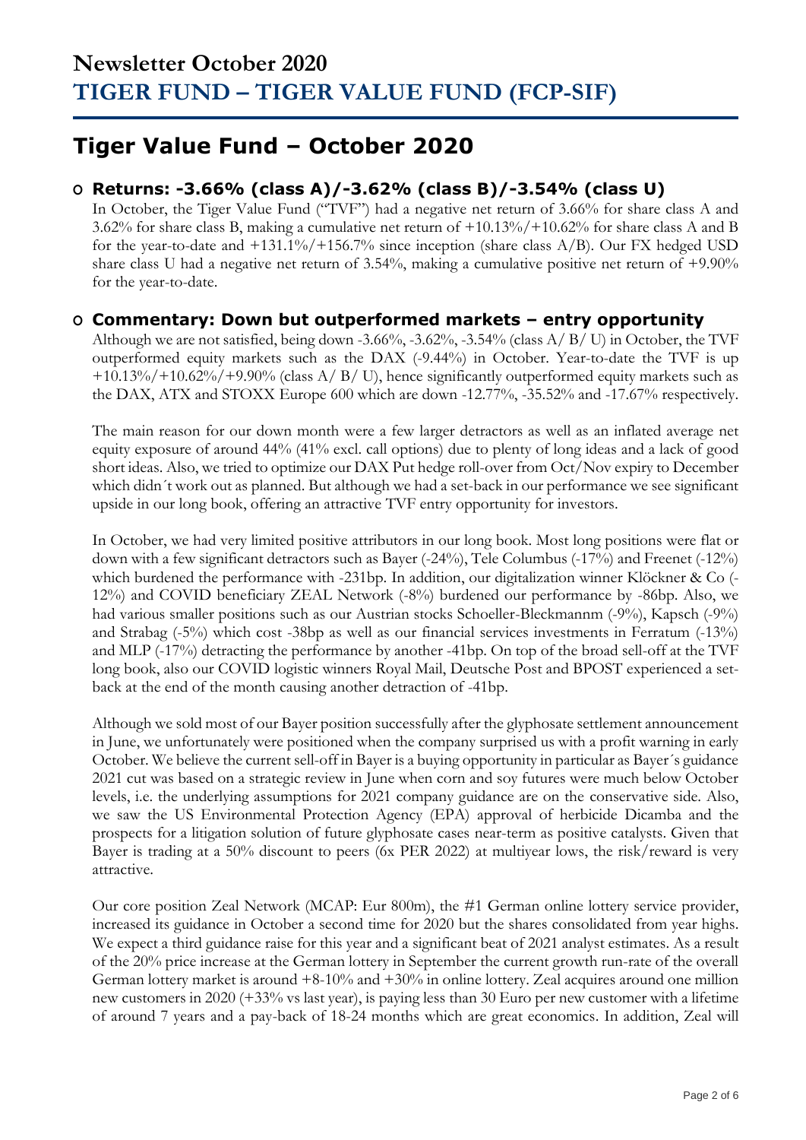### **Tiger Value Fund – October 2020**

### **O Returns: -3.66% (class A)/-3.62% (class B)/-3.54% (class U)**

In October, the Tiger Value Fund ("TVF") had a negative net return of 3.66% for share class A and 3.62% for share class B, making a cumulative net return of +10.13%/+10.62% for share class A and B for the year-to-date and  $+131.1\%/+156.7\%$  since inception (share class A/B). Our FX hedged USD share class U had a negative net return of 3.54%, making a cumulative positive net return of +9.90% for the year-to-date.

### **O Commentary: Down but outperformed markets – entry opportunity**

Although we are not satisfied, being down -3.66%, -3.62%, -3.54% (class A/ B/ U) in October, the TVF outperformed equity markets such as the DAX (-9.44%) in October. Year-to-date the TVF is up  $+10.13\%/+10.62\%/+9.90\%$  (class A/ B/ U), hence significantly outperformed equity markets such as the DAX, ATX and STOXX Europe 600 which are down -12.77%, -35.52% and -17.67% respectively.

The main reason for our down month were a few larger detractors as well as an inflated average net equity exposure of around 44% (41% excl. call options) due to plenty of long ideas and a lack of good short ideas. Also, we tried to optimize our DAX Put hedge roll-over from Oct/Nov expiry to December which didn´t work out as planned. But although we had a set-back in our performance we see significant upside in our long book, offering an attractive TVF entry opportunity for investors.

In October, we had very limited positive attributors in our long book. Most long positions were flat or down with a few significant detractors such as Bayer (-24%), Tele Columbus (-17%) and Freenet (-12%) which burdened the performance with -231bp. In addition, our digitalization winner Klöckner & Co (- 12%) and COVID beneficiary ZEAL Network (-8%) burdened our performance by -86bp. Also, we had various smaller positions such as our Austrian stocks Schoeller-Bleckmannm (-9%), Kapsch (-9%) and Strabag (-5%) which cost -38bp as well as our financial services investments in Ferratum (-13%) and MLP (-17%) detracting the performance by another -41bp. On top of the broad sell-off at the TVF long book, also our COVID logistic winners Royal Mail, Deutsche Post and BPOST experienced a setback at the end of the month causing another detraction of -41bp.

Although we sold most of our Bayer position successfully after the glyphosate settlement announcement in June, we unfortunately were positioned when the company surprised us with a profit warning in early October. We believe the current sell-off in Bayer is a buying opportunity in particular as Bayer´s guidance 2021 cut was based on a strategic review in June when corn and soy futures were much below October levels, i.e. the underlying assumptions for 2021 company guidance are on the conservative side. Also, we saw the US Environmental Protection Agency (EPA) approval of herbicide Dicamba and the prospects for a litigation solution of future glyphosate cases near-term as positive catalysts. Given that Bayer is trading at a 50% discount to peers (6x PER 2022) at multiyear lows, the risk/reward is very attractive.

Our core position Zeal Network (MCAP: Eur 800m), the #1 German online lottery service provider, increased its guidance in October a second time for 2020 but the shares consolidated from year highs. We expect a third guidance raise for this year and a significant beat of 2021 analyst estimates. As a result of the 20% price increase at the German lottery in September the current growth run-rate of the overall German lottery market is around +8-10% and +30% in online lottery. Zeal acquires around one million new customers in 2020 (+33% vs last year), is paying less than 30 Euro per new customer with a lifetime of around 7 years and a pay-back of 18-24 months which are great economics. In addition, Zeal will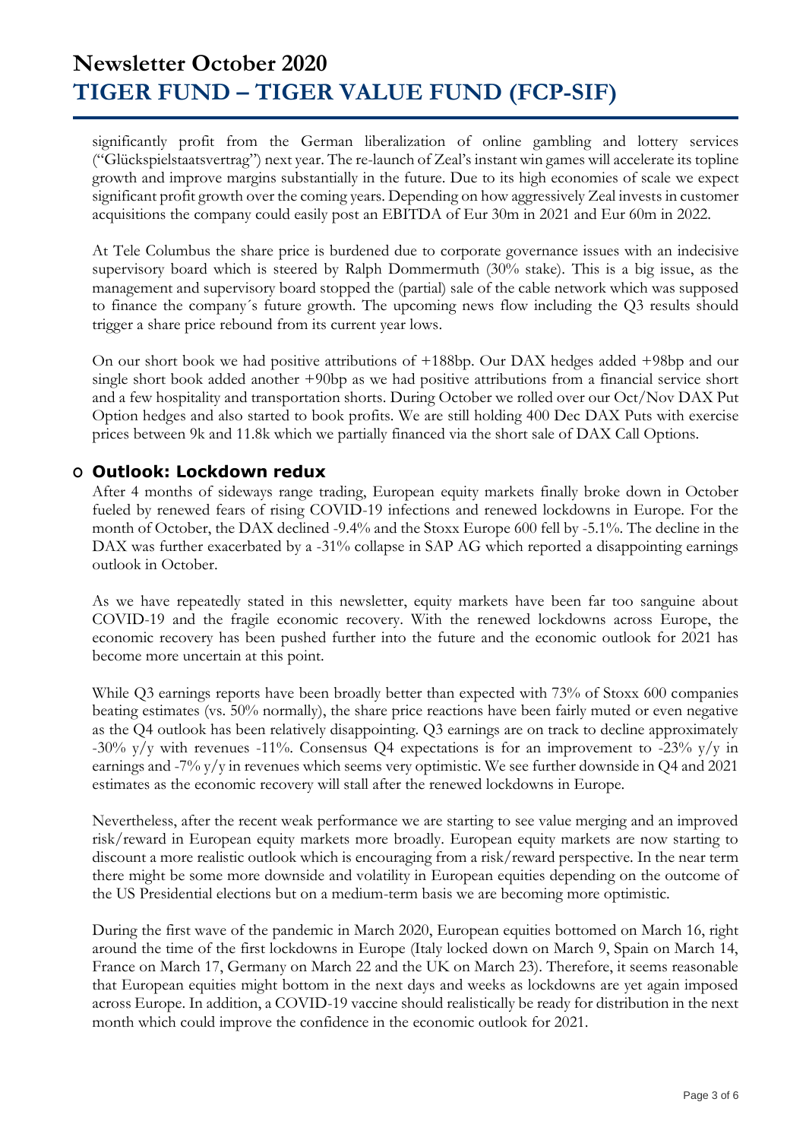significantly profit from the German liberalization of online gambling and lottery services ("Glückspielstaatsvertrag") next year. The re-launch of Zeal's instant win games will accelerate its topline growth and improve margins substantially in the future. Due to its high economies of scale we expect significant profit growth over the coming years. Depending on how aggressively Zeal invests in customer acquisitions the company could easily post an EBITDA of Eur 30m in 2021 and Eur 60m in 2022.

At Tele Columbus the share price is burdened due to corporate governance issues with an indecisive supervisory board which is steered by Ralph Dommermuth (30% stake). This is a big issue, as the management and supervisory board stopped the (partial) sale of the cable network which was supposed to finance the company´s future growth. The upcoming news flow including the Q3 results should trigger a share price rebound from its current year lows.

On our short book we had positive attributions of +188bp. Our DAX hedges added +98bp and our single short book added another +90bp as we had positive attributions from a financial service short and a few hospitality and transportation shorts. During October we rolled over our Oct/Nov DAX Put Option hedges and also started to book profits. We are still holding 400 Dec DAX Puts with exercise prices between 9k and 11.8k which we partially financed via the short sale of DAX Call Options.

### **O Outlook: Lockdown redux**

After 4 months of sideways range trading, European equity markets finally broke down in October fueled by renewed fears of rising COVID-19 infections and renewed lockdowns in Europe. For the month of October, the DAX declined -9.4% and the Stoxx Europe 600 fell by -5.1%. The decline in the DAX was further exacerbated by a -31% collapse in SAP AG which reported a disappointing earnings outlook in October.

As we have repeatedly stated in this newsletter, equity markets have been far too sanguine about COVID-19 and the fragile economic recovery. With the renewed lockdowns across Europe, the economic recovery has been pushed further into the future and the economic outlook for 2021 has become more uncertain at this point.

While Q3 earnings reports have been broadly better than expected with 73% of Stoxx 600 companies beating estimates (vs. 50% normally), the share price reactions have been fairly muted or even negative as the Q4 outlook has been relatively disappointing. Q3 earnings are on track to decline approximately -30%  $y/y$  with revenues -11%. Consensus Q4 expectations is for an improvement to -23%  $y/y$  in earnings and -7% y/y in revenues which seems very optimistic. We see further downside in Q4 and 2021 estimates as the economic recovery will stall after the renewed lockdowns in Europe.

Nevertheless, after the recent weak performance we are starting to see value merging and an improved risk/reward in European equity markets more broadly. European equity markets are now starting to discount a more realistic outlook which is encouraging from a risk/reward perspective. In the near term there might be some more downside and volatility in European equities depending on the outcome of the US Presidential elections but on a medium-term basis we are becoming more optimistic.

During the first wave of the pandemic in March 2020, European equities bottomed on March 16, right around the time of the first lockdowns in Europe (Italy locked down on March 9, Spain on March 14, France on March 17, Germany on March 22 and the UK on March 23). Therefore, it seems reasonable that European equities might bottom in the next days and weeks as lockdowns are yet again imposed across Europe. In addition, a COVID-19 vaccine should realistically be ready for distribution in the next month which could improve the confidence in the economic outlook for 2021.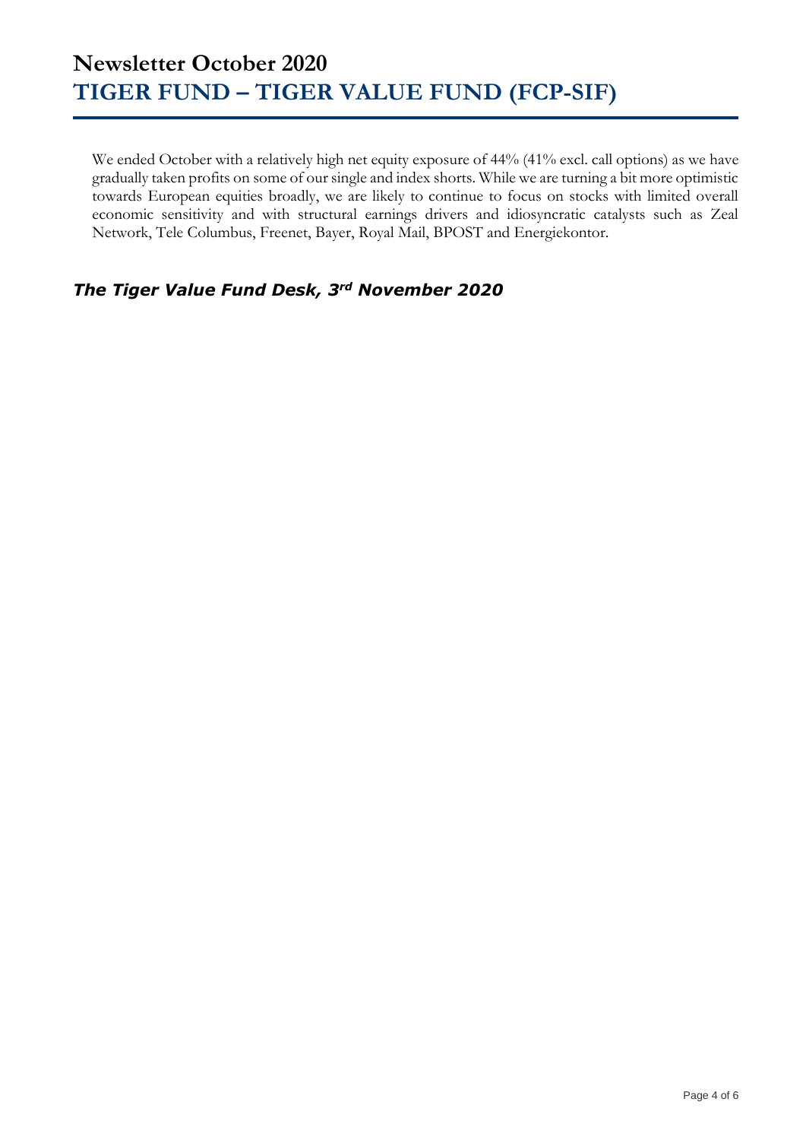We ended October with a relatively high net equity exposure of 44% (41% excl. call options) as we have gradually taken profits on some of our single and index shorts. While we are turning a bit more optimistic towards European equities broadly, we are likely to continue to focus on stocks with limited overall economic sensitivity and with structural earnings drivers and idiosyncratic catalysts such as Zeal Network, Tele Columbus, Freenet, Bayer, Royal Mail, BPOST and Energiekontor.

### *The Tiger Value Fund Desk, 3rd November 2020*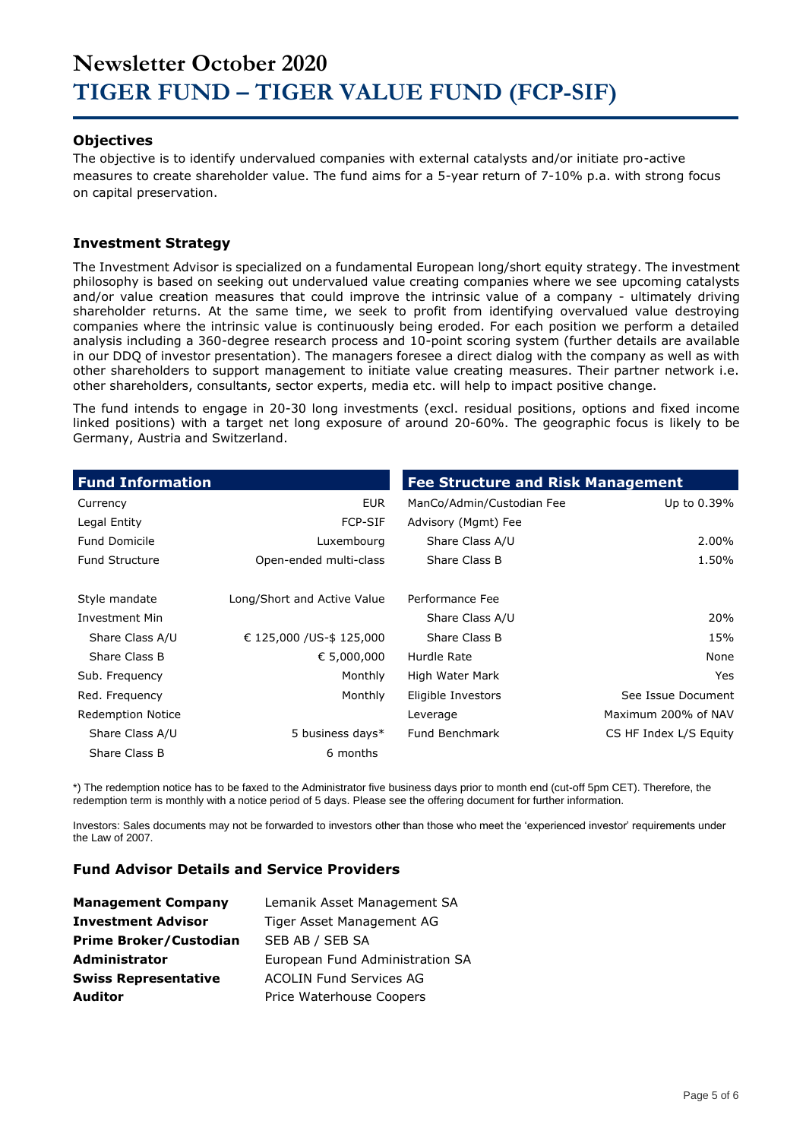#### **Objectives**

The objective is to identify undervalued companies with external catalysts and/or initiate pro-active measures to create shareholder value. The fund aims for a 5-year return of 7-10% p.a. with strong focus on capital preservation.

#### **Investment Strategy**

The Investment Advisor is specialized on a fundamental European long/short equity strategy. The investment philosophy is based on seeking out undervalued value creating companies where we see upcoming catalysts and/or value creation measures that could improve the intrinsic value of a company - ultimately driving shareholder returns. At the same time, we seek to profit from identifying overvalued value destroying companies where the intrinsic value is continuously being eroded. For each position we perform a detailed analysis including a 360-degree research process and 10-point scoring system (further details are available in our DDQ of investor presentation). The managers foresee a direct dialog with the company as well as with other shareholders to support management to initiate value creating measures. Their partner network i.e. other shareholders, consultants, sector experts, media etc. will help to impact positive change.

The fund intends to engage in 20-30 long investments (excl. residual positions, options and fixed income linked positions) with a target net long exposure of around 20-60%. The geographic focus is likely to be Germany, Austria and Switzerland.

| <b>Fund Information</b>  |                             | <b>Fee Structure and Risk Management</b> |                        |
|--------------------------|-----------------------------|------------------------------------------|------------------------|
| Currency                 | <b>EUR</b>                  | ManCo/Admin/Custodian Fee                | Up to 0.39%            |
| Legal Entity             | <b>FCP-SIF</b>              | Advisory (Mgmt) Fee                      |                        |
| <b>Fund Domicile</b>     | Luxembourg                  | Share Class A/U                          | 2.00%                  |
| <b>Fund Structure</b>    | Open-ended multi-class      | Share Class B                            | 1.50%                  |
| Style mandate            | Long/Short and Active Value | Performance Fee                          |                        |
| <b>Investment Min</b>    |                             | Share Class A/U                          | 20%                    |
| Share Class A/U          | € 125,000 / US-\$ 125,000   | Share Class B                            | 15%                    |
| Share Class B            | € 5,000,000                 | Hurdle Rate                              | None                   |
| Sub. Frequency           | Monthly                     | High Water Mark                          | Yes                    |
| Red. Frequency           | Monthly                     | Eligible Investors                       | See Issue Document     |
| <b>Redemption Notice</b> |                             | Leverage                                 | Maximum 200% of NAV    |
| Share Class A/U          | 5 business days*            | Fund Benchmark                           | CS HF Index L/S Equity |
| Share Class B            | 6 months                    |                                          |                        |

\*) The redemption notice has to be faxed to the Administrator five business days prior to month end (cut-off 5pm CET). Therefore, the redemption term is monthly with a notice period of 5 days. Please see the offering document for further information.

Investors: Sales documents may not be forwarded to investors other than those who meet the 'experienced investor' requirements under the Law of 2007.

#### **Fund Advisor Details and Service Providers**

| <b>Management Company</b>     | Lemanik Asset Management SA     |
|-------------------------------|---------------------------------|
| <b>Investment Advisor</b>     | Tiger Asset Management AG       |
| <b>Prime Broker/Custodian</b> | SEB AB / SEB SA                 |
| <b>Administrator</b>          | European Fund Administration SA |
| <b>Swiss Representative</b>   | <b>ACOLIN Fund Services AG</b>  |
| <b>Auditor</b>                | Price Waterhouse Coopers        |